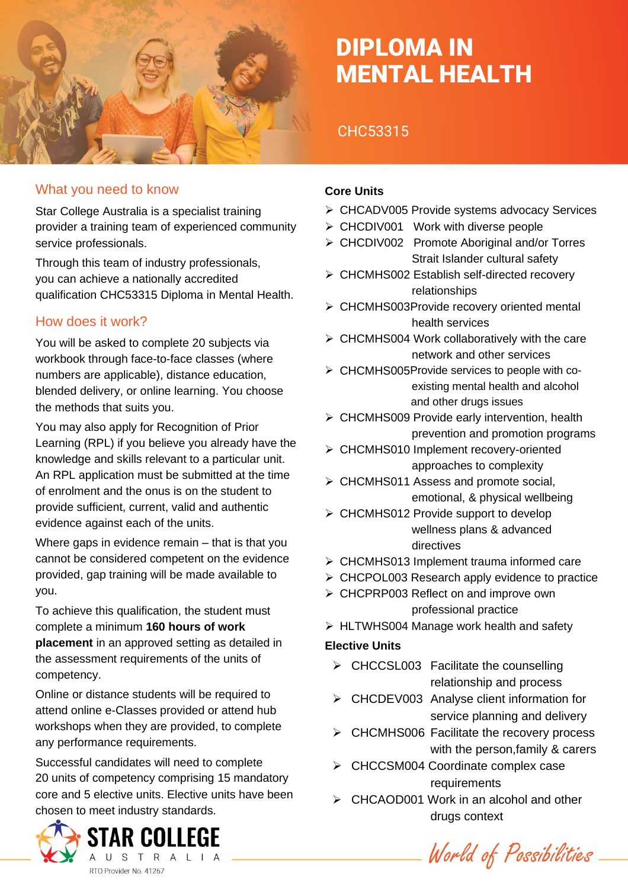

# DIPLOMA IN MENTAL HEALTH

# CHC53315

### What you need to know

Star College Australia is a specialist training provider a training team of experienced community service professionals.

Through this team of industry professionals, you can achieve a nationally accredited qualification CHC53315 Diploma in Mental Health.

### How does it work?

You will be asked to complete 20 subjects via workbook through face-to-face classes (where numbers are applicable), distance education, blended delivery, or online learning. You choose the methods that suits you.

You may also apply for Recognition of Prior Learning (RPL) if you believe you already have the knowledge and skills relevant to a particular unit. An RPL application must be submitted at the time of enrolment and the onus is on the student to provide sufficient, current, valid and authentic evidence against each of the units.

Where gaps in evidence remain – that is that you cannot be considered competent on the evidence provided, gap training will be made available to you.

To achieve this qualification, the student must complete a minimum **160 hours of work placement** in an approved setting as detailed in the assessment requirements of the units of competency.

Online or distance students will be required to attend online e-Classes provided or attend hub workshops when they are provided, to complete any performance requirements.

Successful candidates will need to complete 20 units of competency comprising 15 mandatory core and 5 elective units. Elective units have been chosen to meet industry standards.



### **Core Units**

- ➢ CHCADV005 Provide systems advocacy Services
- ➢ CHCDIV001 Work with diverse people
- ➢ CHCDIV002 Promote Aboriginal and/or Torres Strait Islander cultural safety
- ➢ CHCMHS002 Establish self-directed recovery relationships
- ➢ CHCMHS003Provide recovery oriented mental health services
- ➢ CHCMHS004 Work collaboratively with the care network and other services
- ➢ CHCMHS005Provide services to people with co existing mental health and alcohol and other drugs issues
- ➢ CHCMHS009 Provide early intervention, health prevention and promotion programs
- ➢ CHCMHS010 Implement recovery-oriented approaches to complexity
- ➢ CHCMHS011 Assess and promote social, emotional, & physical wellbeing
- ➢ CHCMHS012 Provide support to develop wellness plans & advanced directives
- ➢ CHCMHS013 Implement trauma informed care
- ➢ CHCPOL003 Research apply evidence to practice
- ➢ CHCPRP003 Reflect on and improve own professional practice
- ➢ HLTWHS004 Manage work health and safety

#### **Elective Units**

- ➢ CHCCSL003 Facilitate the counselling relationship and process
- ➢ CHCDEV003 Analyse client information for service planning and delivery
- ➢ CHCMHS006 Facilitate the recovery process with the person,family & carers
- ➢ CHCCSM004 Coordinate complex case requirements
- ➢ CHCAOD001 Work in an alcohol and other drugs context

World of Possibilities